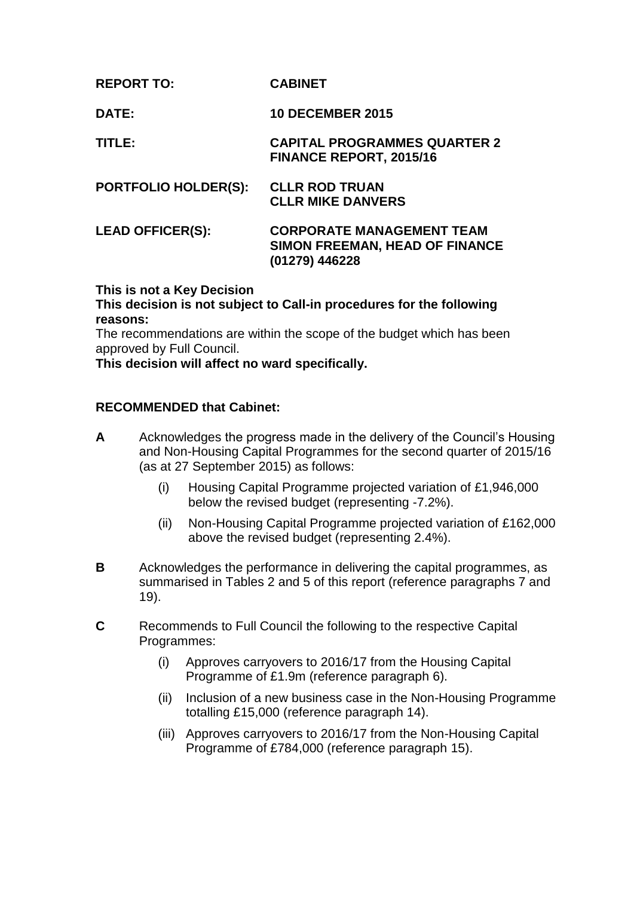| <b>REPORT TO:</b>           | <b>CABINET</b>                                                                       |
|-----------------------------|--------------------------------------------------------------------------------------|
| DATE:                       | <b>10 DECEMBER 2015</b>                                                              |
| TITLE:                      | <b>CAPITAL PROGRAMMES QUARTER 2</b><br><b>FINANCE REPORT, 2015/16</b>                |
| <b>PORTFOLIO HOLDER(S):</b> | <b>CLLR ROD TRUAN</b><br><b>CLLR MIKE DANVERS</b>                                    |
| <b>LEAD OFFICER(S):</b>     | <b>CORPORATE MANAGEMENT TEAM</b><br>SIMON FREEMAN, HEAD OF FINANCE<br>(01279) 446228 |

### **This is not a Key Decision**

**This decision is not subject to Call-in procedures for the following reasons:**

The recommendations are within the scope of the budget which has been approved by Full Council.

**This decision will affect no ward specifically.** 

### **RECOMMENDED that Cabinet:**

- **A** Acknowledges the progress made in the delivery of the Council's Housing and Non-Housing Capital Programmes for the second quarter of 2015/16 (as at 27 September 2015) as follows:
	- (i) Housing Capital Programme projected variation of £1,946,000 below the revised budget (representing -7.2%).
	- (ii) Non-Housing Capital Programme projected variation of £162,000 above the revised budget (representing 2.4%).
- **B** Acknowledges the performance in delivering the capital programmes, as summarised in Tables 2 and 5 of this report (reference paragraphs 7 and 19).
- **C** Recommends to Full Council the following to the respective Capital Programmes:
	- (i) Approves carryovers to 2016/17 from the Housing Capital Programme of £1.9m (reference paragraph 6).
	- (ii) Inclusion of a new business case in the Non-Housing Programme totalling £15,000 (reference paragraph 14).
	- (iii) Approves carryovers to 2016/17 from the Non-Housing Capital Programme of £784,000 (reference paragraph 15).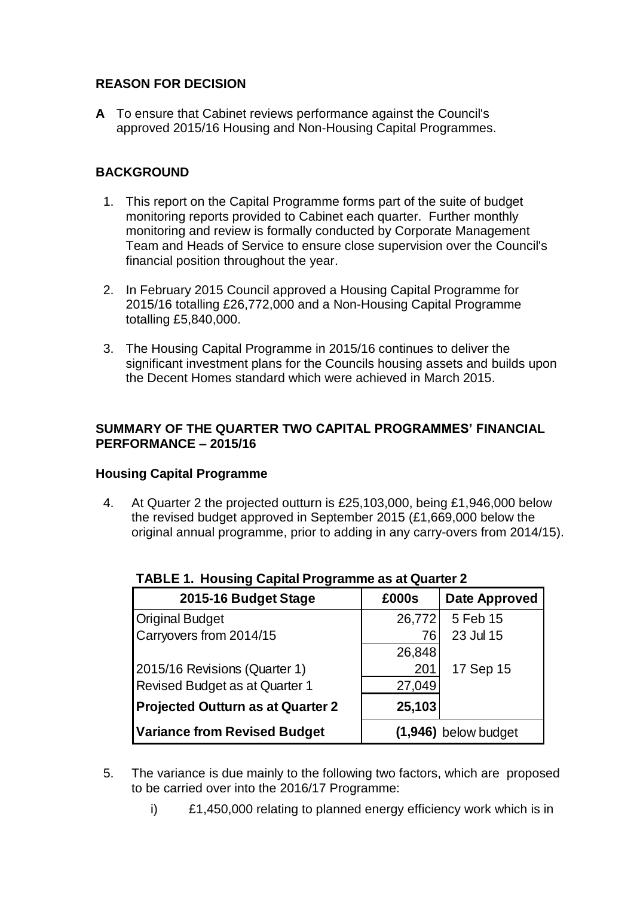## **REASON FOR DECISION**

**A** To ensure that Cabinet reviews performance against the Council's approved 2015/16 Housing and Non-Housing Capital Programmes.

# **BACKGROUND**

- 1. This report on the Capital Programme forms part of the suite of budget monitoring reports provided to Cabinet each quarter. Further monthly monitoring and review is formally conducted by Corporate Management Team and Heads of Service to ensure close supervision over the Council's financial position throughout the year.
- 2. In February 2015 Council approved a Housing Capital Programme for 2015/16 totalling £26,772,000 and a Non-Housing Capital Programme totalling £5,840,000.
- 3. The Housing Capital Programme in 2015/16 continues to deliver the significant investment plans for the Councils housing assets and builds upon the Decent Homes standard which were achieved in March 2015.

## **SUMMARY OF THE QUARTER TWO CAPITAL PROGRAMMES' FINANCIAL PERFORMANCE – 2015/16**

## **Housing Capital Programme**

4. At Quarter 2 the projected outturn is £25,103,000, being £1,946,000 below the revised budget approved in September 2015 (£1,669,000 below the original annual programme, prior to adding in any carry-overs from 2014/15).

| 2015-16 Budget Stage                                          | £000s  | <b>Date Approved</b> |
|---------------------------------------------------------------|--------|----------------------|
| <b>Original Budget</b>                                        | 26,772 | 5 Feb 15             |
| Carryovers from 2014/15                                       | 76     | 23 Jul 15            |
|                                                               | 26,848 |                      |
| 2015/16 Revisions (Quarter 1)                                 | 201    | 17 Sep 15            |
| Revised Budget as at Quarter 1                                | 27,049 |                      |
| <b>Projected Outturn as at Quarter 2</b>                      | 25,103 |                      |
| <b>Variance from Revised Budget</b><br>$(1,946)$ below budget |        |                      |

# **TABLE 1. Housing Capital Programme as at Quarter 2**

- 5. The variance is due mainly to the following two factors, which are proposed to be carried over into the 2016/17 Programme:
	- i) £1,450,000 relating to planned energy efficiency work which is in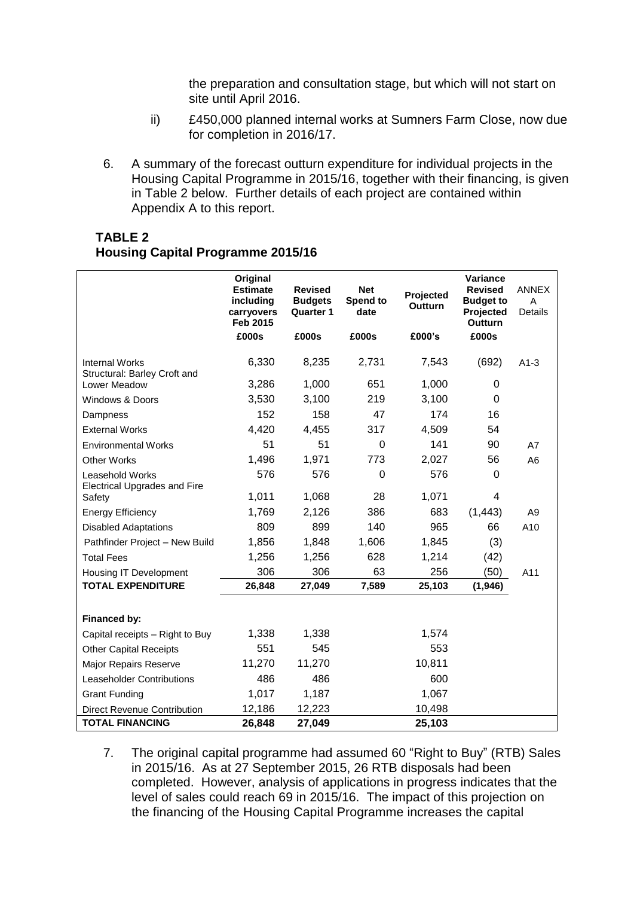the preparation and consultation stage, but which will not start on site until April 2016.

- ii) £450,000 planned internal works at Sumners Farm Close, now due for completion in 2016/17.
- 6. A summary of the forecast outturn expenditure for individual projects in the Housing Capital Programme in 2015/16, together with their financing, is given in Table 2 below. Further details of each project are contained within Appendix A to this report.

#### **TABLE 2 Housing Capital Programme 2015/16**

|                                                               | Original<br><b>Estimate</b><br>including<br>carryovers<br>Feb 2015 | <b>Revised</b><br><b>Budgets</b><br><b>Quarter 1</b> | <b>Net</b><br>Spend to<br>date | Projected<br><b>Outturn</b> | Variance<br><b>Revised</b><br><b>Budget to</b><br>Projected<br><b>Outturn</b> | <b>ANNEX</b><br>A<br><b>Details</b> |
|---------------------------------------------------------------|--------------------------------------------------------------------|------------------------------------------------------|--------------------------------|-----------------------------|-------------------------------------------------------------------------------|-------------------------------------|
|                                                               | £000s                                                              | £000s                                                | £000s                          | £000's                      | £000s                                                                         |                                     |
| <b>Internal Works</b><br>Structural: Barley Croft and         | 6,330                                                              | 8,235                                                | 2,731                          | 7,543                       | (692)                                                                         | $A1-3$                              |
| Lower Meadow                                                  | 3,286                                                              | 1,000                                                | 651                            | 1,000                       | 0                                                                             |                                     |
| Windows & Doors                                               | 3,530                                                              | 3,100                                                | 219                            | 3,100                       | 0                                                                             |                                     |
| Dampness                                                      | 152                                                                | 158                                                  | 47                             | 174                         | 16                                                                            |                                     |
| <b>External Works</b>                                         | 4,420                                                              | 4,455                                                | 317                            | 4,509                       | 54                                                                            |                                     |
| <b>Environmental Works</b>                                    | 51                                                                 | 51                                                   | $\mathbf 0$                    | 141                         | 90                                                                            | A7                                  |
| Other Works                                                   | 1,496                                                              | 1,971                                                | 773                            | 2,027                       | 56                                                                            | A <sub>6</sub>                      |
| <b>Leasehold Works</b><br><b>Electrical Upgrades and Fire</b> | 576                                                                | 576                                                  | 0                              | 576                         | 0                                                                             |                                     |
| Safety                                                        | 1,011                                                              | 1,068                                                | 28                             | 1,071                       | 4                                                                             |                                     |
| <b>Energy Efficiency</b>                                      | 1,769                                                              | 2,126                                                | 386                            | 683                         | (1, 443)                                                                      | A <sub>9</sub>                      |
| <b>Disabled Adaptations</b>                                   | 809                                                                | 899                                                  | 140                            | 965                         | 66                                                                            | A10                                 |
| Pathfinder Project - New Build                                | 1,856                                                              | 1,848                                                | 1,606                          | 1,845                       | (3)                                                                           |                                     |
| <b>Total Fees</b>                                             | 1,256                                                              | 1,256                                                | 628                            | 1,214                       | (42)                                                                          |                                     |
| Housing IT Development                                        | 306                                                                | 306                                                  | 63                             | 256                         | (50)                                                                          | A11                                 |
| <b>TOTAL EXPENDITURE</b>                                      | 26,848                                                             | 27,049                                               | 7,589                          | 25,103                      | (1,946)                                                                       |                                     |
|                                                               |                                                                    |                                                      |                                |                             |                                                                               |                                     |
| Financed by:                                                  |                                                                    |                                                      |                                |                             |                                                                               |                                     |
| Capital receipts - Right to Buy                               | 1,338                                                              | 1,338                                                |                                | 1,574                       |                                                                               |                                     |
| <b>Other Capital Receipts</b>                                 | 551                                                                | 545                                                  |                                | 553                         |                                                                               |                                     |
| Major Repairs Reserve                                         | 11,270                                                             | 11,270                                               |                                | 10,811                      |                                                                               |                                     |
| Leaseholder Contributions                                     | 486                                                                | 486                                                  |                                | 600                         |                                                                               |                                     |
| <b>Grant Funding</b>                                          | 1,017                                                              | 1,187                                                |                                | 1,067                       |                                                                               |                                     |
| <b>Direct Revenue Contribution</b>                            | 12,186                                                             | 12,223                                               |                                | 10,498                      |                                                                               |                                     |
| <b>TOTAL FINANCING</b>                                        | 26,848                                                             | 27,049                                               |                                | 25,103                      |                                                                               |                                     |

7. The original capital programme had assumed 60 "Right to Buy" (RTB) Sales in 2015/16. As at 27 September 2015, 26 RTB disposals had been completed. However, analysis of applications in progress indicates that the level of sales could reach 69 in 2015/16. The impact of this projection on the financing of the Housing Capital Programme increases the capital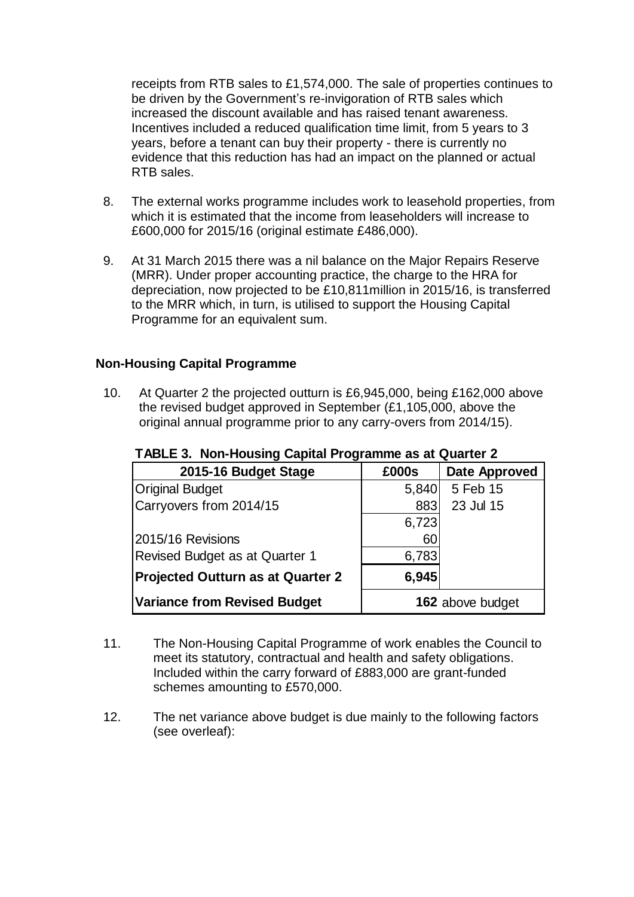receipts from RTB sales to £1,574,000. The sale of properties continues to be driven by the Government's re-invigoration of RTB sales which increased the discount available and has raised tenant awareness*.* Incentives included a reduced qualification time limit, from 5 years to 3 years, before a tenant can buy their property - there is currently no evidence that this reduction has had an impact on the planned or actual RTB sales.

- 8. The external works programme includes work to leasehold properties, from which it is estimated that the income from leaseholders will increase to £600,000 for 2015/16 (original estimate £486,000).
- 9. At 31 March 2015 there was a nil balance on the Major Repairs Reserve (MRR). Under proper accounting practice, the charge to the HRA for depreciation, now projected to be £10,811million in 2015/16, is transferred to the MRR which, in turn, is utilised to support the Housing Capital Programme for an equivalent sum.

## **Non-Housing Capital Programme**

10. At Quarter 2 the projected outturn is £6,945,000, being £162,000 above the revised budget approved in September (£1,105,000, above the original annual programme prior to any carry-overs from 2014/15).

| 2015-16 Budget Stage                     | £000s            | <b>Date Approved</b> |
|------------------------------------------|------------------|----------------------|
| <b>Original Budget</b>                   | 5,840            | 5 Feb 15             |
| Carryovers from 2014/15                  | 883              | 23 Jul 15            |
|                                          | 6,723            |                      |
| 2015/16 Revisions                        | 60               |                      |
| Revised Budget as at Quarter 1           | 6,783            |                      |
| <b>Projected Outturn as at Quarter 2</b> | 6,945            |                      |
| <b>Variance from Revised Budget</b>      | 162 above budget |                      |

**TABLE 3. Non-Housing Capital Programme as at Quarter 2**

- 11. The Non-Housing Capital Programme of work enables the Council to meet its statutory, contractual and health and safety obligations. Included within the carry forward of £883,000 are grant-funded schemes amounting to £570,000.
- 12. The net variance above budget is due mainly to the following factors (see overleaf):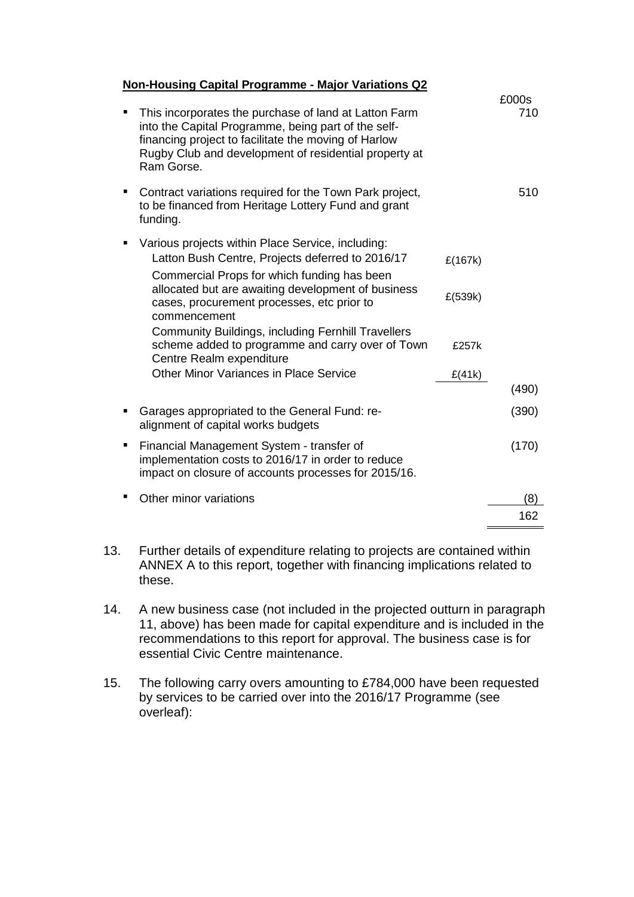#### **Non-Housing Capital Programme - Major Variations Q2**

|   | This incorporates the purchase of land at Latton Farm<br>into the Capital Programme, being part of the self-<br>financing project to facilitate the moving of Harlow<br>Rugby Club and development of residential property at<br>Ram Gorse. |         | £000s<br>710 |
|---|---------------------------------------------------------------------------------------------------------------------------------------------------------------------------------------------------------------------------------------------|---------|--------------|
|   | Contract variations required for the Town Park project,<br>to be financed from Heritage Lottery Fund and grant<br>funding.                                                                                                                  |         | 510          |
|   | Various projects within Place Service, including:<br>Latton Bush Centre, Projects deferred to 2016/17                                                                                                                                       | £(167k) |              |
|   | Commercial Props for which funding has been<br>allocated but are awaiting development of business<br>cases, procurement processes, etc prior to<br>commencement                                                                             | £(539k) |              |
|   | <b>Community Buildings, including Fernhill Travellers</b><br>scheme added to programme and carry over of Town<br>Centre Realm expenditure                                                                                                   | £257k   |              |
|   | <b>Other Minor Variances in Place Service</b>                                                                                                                                                                                               | E(41k)  |              |
|   |                                                                                                                                                                                                                                             |         | (490)        |
|   | Garages appropriated to the General Fund: re-<br>alignment of capital works budgets                                                                                                                                                         |         | (390)        |
| п | Financial Management System - transfer of<br>implementation costs to 2016/17 in order to reduce<br>impact on closure of accounts processes for 2015/16.                                                                                     |         | (170)        |
|   | Other minor variations                                                                                                                                                                                                                      |         | 8)           |
|   |                                                                                                                                                                                                                                             |         | 162          |

- 13. Further details of expenditure relating to projects are contained within ANNEX A to this report, together with financing implications related to these.
- 14. A new business case (not included in the projected outturn in paragraph 11, above) has been made for capital expenditure and is included in the recommendations to this report for approval. The business case is for essential Civic Centre maintenance.
- 15. The following carry overs amounting to £784,000 have been requested by services to be carried over into the 2016/17 Programme (see overleaf):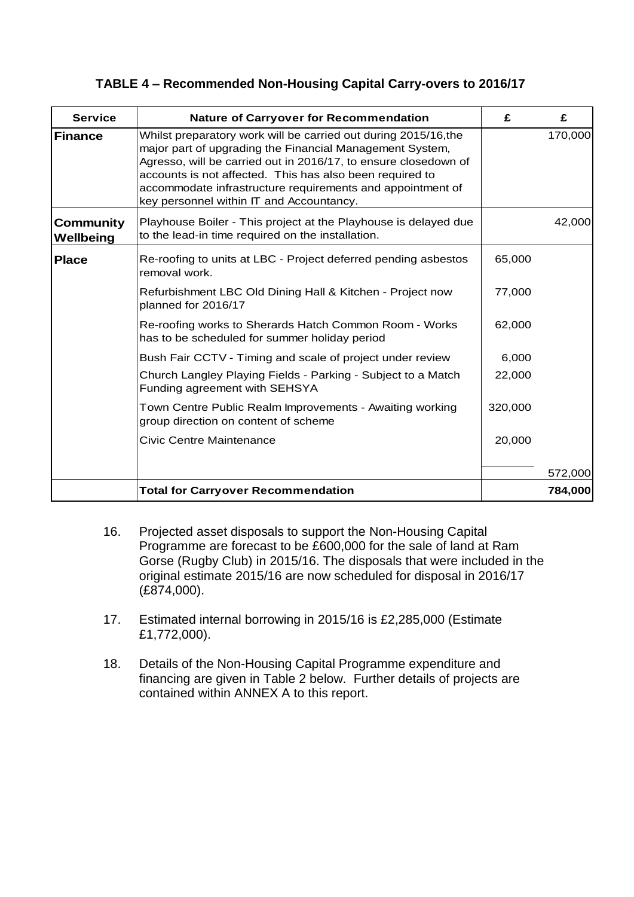| <b>Service</b>                | <b>Nature of Carryover for Recommendation</b>                                                                                                                                                                                                                                                                                                                        | £       | £       |
|-------------------------------|----------------------------------------------------------------------------------------------------------------------------------------------------------------------------------------------------------------------------------------------------------------------------------------------------------------------------------------------------------------------|---------|---------|
| Finance                       | Whilst preparatory work will be carried out during 2015/16, the<br>major part of upgrading the Financial Management System,<br>Agresso, will be carried out in 2016/17, to ensure closedown of<br>accounts is not affected. This has also been required to<br>accommodate infrastructure requirements and appointment of<br>key personnel within IT and Accountancy. |         | 170,000 |
| <b>Community</b><br>Wellbeing | Playhouse Boiler - This project at the Playhouse is delayed due<br>to the lead-in time required on the installation.                                                                                                                                                                                                                                                 |         | 42,000  |
| <b>Place</b>                  | Re-roofing to units at LBC - Project deferred pending asbestos<br>removal work.                                                                                                                                                                                                                                                                                      | 65,000  |         |
|                               | Refurbishment LBC Old Dining Hall & Kitchen - Project now<br>planned for 2016/17                                                                                                                                                                                                                                                                                     | 77,000  |         |
|                               | Re-roofing works to Sherards Hatch Common Room - Works<br>has to be scheduled for summer holiday period                                                                                                                                                                                                                                                              | 62,000  |         |
|                               | Bush Fair CCTV - Timing and scale of project under review                                                                                                                                                                                                                                                                                                            | 6,000   |         |
|                               | Church Langley Playing Fields - Parking - Subject to a Match<br>Funding agreement with SEHSYA                                                                                                                                                                                                                                                                        | 22,000  |         |
|                               | Town Centre Public Realm Improvements - Awaiting working<br>group direction on content of scheme                                                                                                                                                                                                                                                                     | 320,000 |         |
|                               | <b>Civic Centre Maintenance</b>                                                                                                                                                                                                                                                                                                                                      | 20,000  |         |
|                               |                                                                                                                                                                                                                                                                                                                                                                      |         | 572,000 |
|                               | <b>Total for Carryover Recommendation</b>                                                                                                                                                                                                                                                                                                                            |         | 784,000 |

- 16. Projected asset disposals to support the Non-Housing Capital Programme are forecast to be £600,000 for the sale of land at Ram Gorse (Rugby Club) in 2015/16. The disposals that were included in the original estimate 2015/16 are now scheduled for disposal in 2016/17 (£874,000).
- 17. Estimated internal borrowing in 2015/16 is £2,285,000 (Estimate £1,772,000).
- 18. Details of the Non-Housing Capital Programme expenditure and financing are given in Table 2 below. Further details of projects are contained within ANNEX A to this report.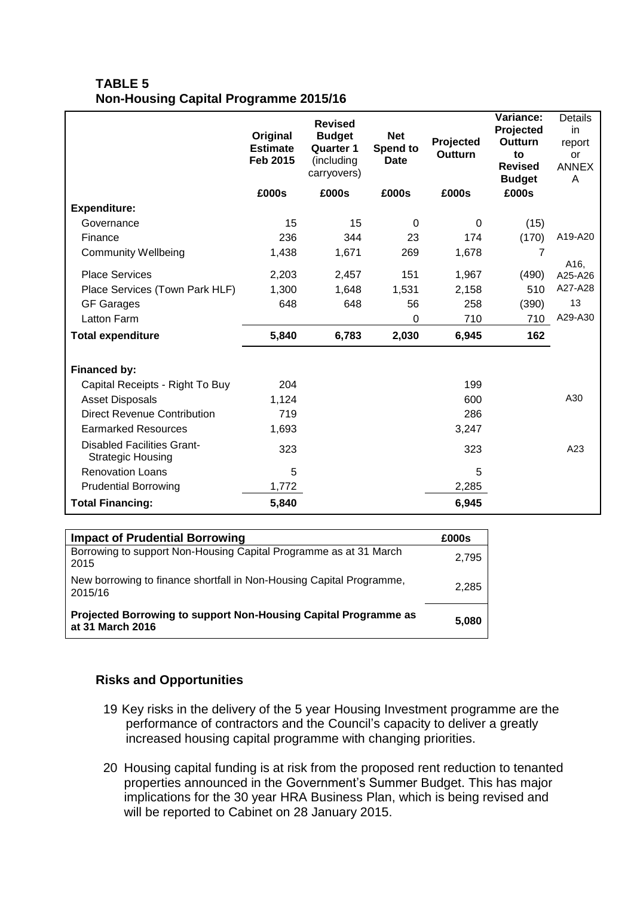### **TABLE 5 Non-Housing Capital Programme 2015/16**

|                                                               | Original<br><b>Estimate</b><br><b>Feb 2015</b> | <b>Revised</b><br><b>Budget</b><br><b>Quarter 1</b><br>(including<br>carryovers) | <b>Net</b><br>Spend to<br><b>Date</b> | Projected<br><b>Outturn</b> | Variance:<br>Projected<br>Outturn<br>to<br><b>Revised</b><br><b>Budget</b> | Details<br>in<br>report<br>or<br><b>ANNEX</b><br>A |
|---------------------------------------------------------------|------------------------------------------------|----------------------------------------------------------------------------------|---------------------------------------|-----------------------------|----------------------------------------------------------------------------|----------------------------------------------------|
|                                                               | £000s                                          | £000s                                                                            | £000s                                 | £000s                       | £000s                                                                      |                                                    |
| <b>Expenditure:</b>                                           |                                                |                                                                                  |                                       |                             |                                                                            |                                                    |
| Governance                                                    | 15                                             | 15                                                                               | $\mathbf 0$                           | $\Omega$                    | (15)                                                                       |                                                    |
| Finance                                                       | 236                                            | 344                                                                              | 23                                    | 174                         | (170)                                                                      | A19-A20                                            |
| <b>Community Wellbeing</b>                                    | 1,438                                          | 1,671                                                                            | 269                                   | 1,678                       | 7                                                                          | A16,                                               |
| <b>Place Services</b>                                         | 2,203                                          | 2,457                                                                            | 151                                   | 1,967                       | (490)                                                                      | A25-A26                                            |
| Place Services (Town Park HLF)                                | 1,300                                          | 1,648                                                                            | 1,531                                 | 2,158                       | 510                                                                        | A27-A28                                            |
| <b>GF Garages</b>                                             | 648                                            | 648                                                                              | 56                                    | 258                         | (390)                                                                      | 13                                                 |
| Latton Farm                                                   |                                                |                                                                                  | 0                                     | 710                         | 710                                                                        | A29-A30                                            |
| <b>Total expenditure</b>                                      | 5,840                                          | 6,783                                                                            | 2,030                                 | 6,945                       | 162                                                                        |                                                    |
| Financed by:                                                  |                                                |                                                                                  |                                       |                             |                                                                            |                                                    |
| Capital Receipts - Right To Buy                               | 204                                            |                                                                                  |                                       | 199                         |                                                                            |                                                    |
| <b>Asset Disposals</b>                                        | 1,124                                          |                                                                                  |                                       | 600                         |                                                                            | A30                                                |
| <b>Direct Revenue Contribution</b>                            | 719                                            |                                                                                  |                                       | 286                         |                                                                            |                                                    |
| <b>Earmarked Resources</b>                                    | 1,693                                          |                                                                                  |                                       | 3,247                       |                                                                            |                                                    |
| <b>Disabled Facilities Grant-</b><br><b>Strategic Housing</b> | 323                                            |                                                                                  |                                       | 323                         |                                                                            | A23                                                |
| <b>Renovation Loans</b>                                       | 5                                              |                                                                                  |                                       | 5                           |                                                                            |                                                    |
| <b>Prudential Borrowing</b>                                   | 1,772                                          |                                                                                  |                                       | 2,285                       |                                                                            |                                                    |
| <b>Total Financing:</b>                                       | 5,840                                          |                                                                                  |                                       | 6,945                       |                                                                            |                                                    |

| <b>Impact of Prudential Borrowing</b>                                               | £000s |
|-------------------------------------------------------------------------------------|-------|
| Borrowing to support Non-Housing Capital Programme as at 31 March<br>2015           | 2,795 |
| New borrowing to finance shortfall in Non-Housing Capital Programme,<br>2015/16     | 2,285 |
| Projected Borrowing to support Non-Housing Capital Programme as<br>at 31 March 2016 | 5.080 |

## **Risks and Opportunities**

- 19.Key risks in the delivery of the 5 year Housing Investment programme are the performance of contractors and the Council's capacity to deliver a greatly increased housing capital programme with changing priorities.
- 20. Housing capital funding is at risk from the proposed rent reduction to tenanted properties announced in the Government's Summer Budget. This has major implications for the 30 year HRA Business Plan, which is being revised and will be reported to Cabinet on 28 January 2015.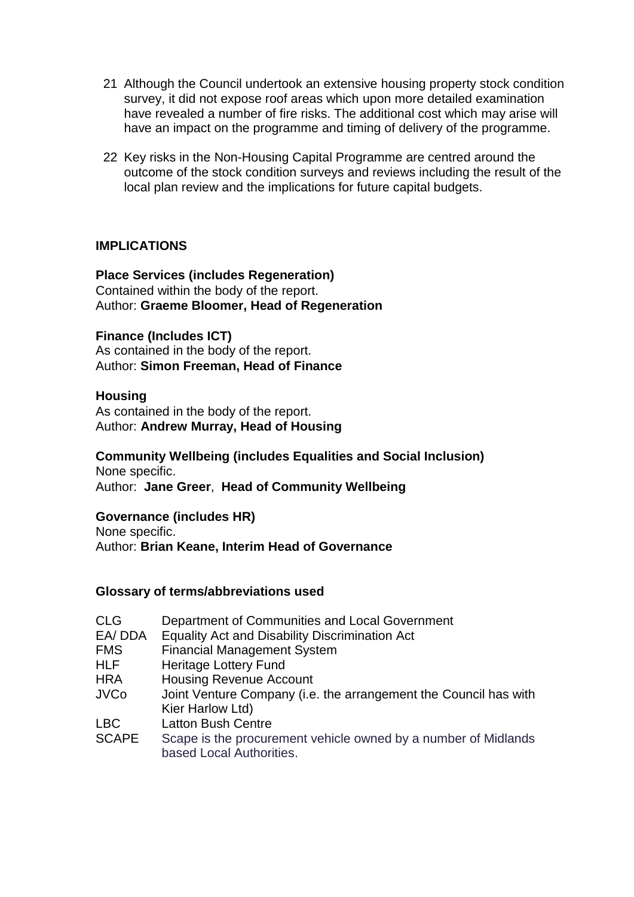- 21. Although the Council undertook an extensive housing property stock condition survey, it did not expose roof areas which upon more detailed examination have revealed a number of fire risks. The additional cost which may arise will have an impact on the programme and timing of delivery of the programme.
- 22. Key risks in the Non-Housing Capital Programme are centred around the outcome of the stock condition surveys and reviews including the result of the local plan review and the implications for future capital budgets.

### **IMPLICATIONS**

#### **Place Services (includes Regeneration)** Contained within the body of the report.

Author: **Graeme Bloomer, Head of Regeneration**

#### **Finance (Includes ICT)**

As contained in the body of the report. Author: **Simon Freeman, Head of Finance**

### **Housing**

As contained in the body of the report. Author: **Andrew Murray, Head of Housing**

#### **Community Wellbeing (includes Equalities and Social Inclusion)** None specific.

Author: **Jane Greer**, **Head of Community Wellbeing**

#### **Governance (includes HR)**

None specific. Author: **Brian Keane, Interim Head of Governance**

#### **Glossary of terms/abbreviations used**

| <b>CLG</b> | Department of Communities and Local Government        |
|------------|-------------------------------------------------------|
|            |                                                       |
| EA/DDA     | <b>Equality Act and Disability Discrimination Act</b> |
| <b>FMS</b> | <b>Financial Management System</b>                    |
| HLF.       | Heritage Lottery Fund                                 |
|            |                                                       |

- HRA Housing Revenue Account
- JVCo Joint Venture Company (i.e. the arrangement the Council has with Kier Harlow Ltd)
- LBC Latton Bush Centre
- SCAPE Scape is the procurement vehicle owned by a number of Midlands based Local Authorities.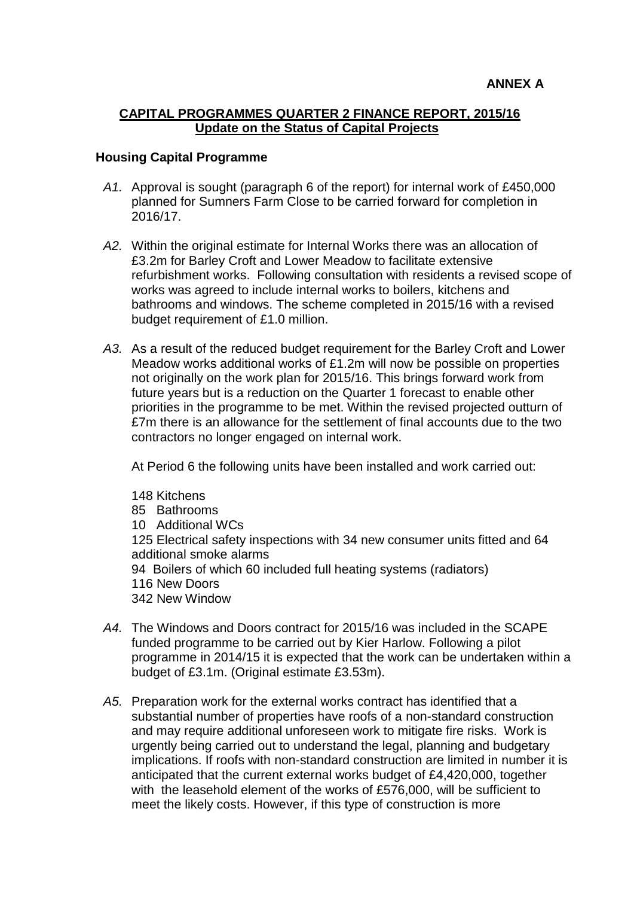#### **CAPITAL PROGRAMMES QUARTER 2 FINANCE REPORT, 2015/16 Update on the Status of Capital Projects**

#### **Housing Capital Programme**

- *A1.* Approval is sought (paragraph 6 of the report) for internal work of £450,000 planned for Sumners Farm Close to be carried forward for completion in 2016/17.
- *A2.* Within the original estimate for Internal Works there was an allocation of £3.2m for Barley Croft and Lower Meadow to facilitate extensive refurbishment works. Following consultation with residents a revised scope of works was agreed to include internal works to boilers, kitchens and bathrooms and windows. The scheme completed in 2015/16 with a revised budget requirement of £1.0 million.
- *A3.* As a result of the reduced budget requirement for the Barley Croft and Lower Meadow works additional works of £1.2m will now be possible on properties not originally on the work plan for 2015/16. This brings forward work from future years but is a reduction on the Quarter 1 forecast to enable other priorities in the programme to be met. Within the revised projected outturn of £7m there is an allowance for the settlement of final accounts due to the two contractors no longer engaged on internal work.

At Period 6 the following units have been installed and work carried out:

148 Kitchens

- 85 Bathrooms
- 10 Additional WCs

125 Electrical safety inspections with 34 new consumer units fitted and 64 additional smoke alarms

94 Boilers of which 60 included full heating systems (radiators)

- 116 New Doors
- 342 New Window
- *A4.* The Windows and Doors contract for 2015/16 was included in the SCAPE funded programme to be carried out by Kier Harlow. Following a pilot programme in 2014/15 it is expected that the work can be undertaken within a budget of £3.1m. (Original estimate £3.53m).
- A5. Preparation work for the external works contract has identified that a substantial number of properties have roofs of a non-standard construction and may require additional unforeseen work to mitigate fire risks. Work is urgently being carried out to understand the legal, planning and budgetary implications. If roofs with non-standard construction are limited in number it is anticipated that the current external works budget of £4,420,000, together with the leasehold element of the works of £576,000, will be sufficient to meet the likely costs. However, if this type of construction is more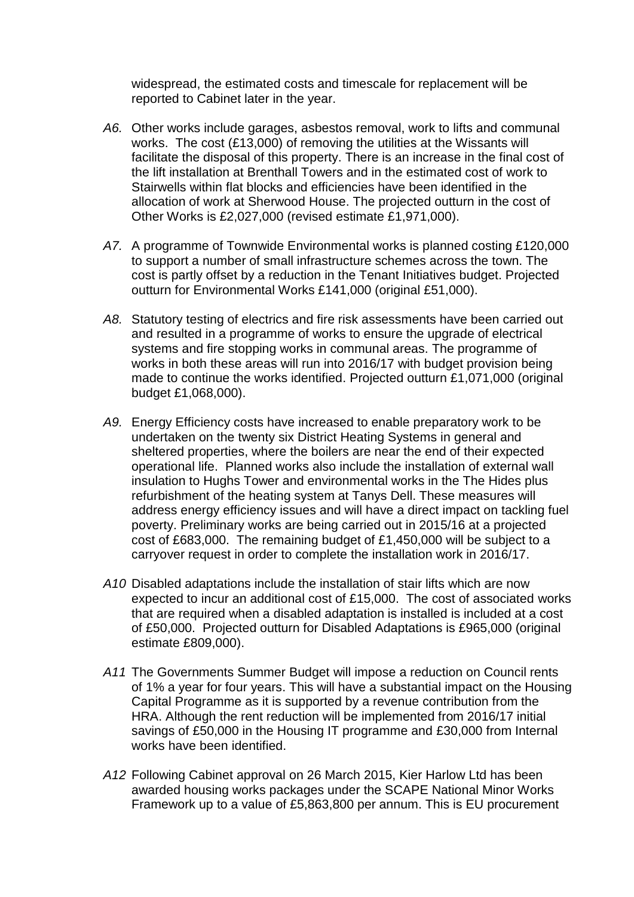widespread, the estimated costs and timescale for replacement will be reported to Cabinet later in the year.

- *A6.* Other works include garages, asbestos removal, work to lifts and communal works. The cost (£13,000) of removing the utilities at the Wissants will facilitate the disposal of this property. There is an increase in the final cost of the lift installation at Brenthall Towers and in the estimated cost of work to Stairwells within flat blocks and efficiencies have been identified in the allocation of work at Sherwood House. The projected outturn in the cost of Other Works is £2,027,000 (revised estimate £1,971,000).
- *A7.* A programme of Townwide Environmental works is planned costing £120,000 to support a number of small infrastructure schemes across the town. The cost is partly offset by a reduction in the Tenant Initiatives budget. Projected outturn for Environmental Works £141,000 (original £51,000).
- *A8.* Statutory testing of electrics and fire risk assessments have been carried out and resulted in a programme of works to ensure the upgrade of electrical systems and fire stopping works in communal areas. The programme of works in both these areas will run into 2016/17 with budget provision being made to continue the works identified. Projected outturn £1,071,000 (original budget £1,068,000).
- *A9.* Energy Efficiency costs have increased to enable preparatory work to be undertaken on the twenty six District Heating Systems in general and sheltered properties, where the boilers are near the end of their expected operational life. Planned works also include the installation of external wall insulation to Hughs Tower and environmental works in the The Hides plus refurbishment of the heating system at Tanys Dell. These measures will address energy efficiency issues and will have a direct impact on tackling fuel poverty. Preliminary works are being carried out in 2015/16 at a projected cost of £683,000. The remaining budget of £1,450,000 will be subject to a carryover request in order to complete the installation work in 2016/17.
- *A10.* Disabled adaptations include the installation of stair lifts which are now expected to incur an additional cost of £15,000. The cost of associated works that are required when a disabled adaptation is installed is included at a cost of £50,000. Projected outturn for Disabled Adaptations is £965,000 (original estimate £809,000).
- *A11.* The Governments Summer Budget will impose a reduction on Council rents of 1% a year for four years. This will have a substantial impact on the Housing Capital Programme as it is supported by a revenue contribution from the HRA. Although the rent reduction will be implemented from 2016/17 initial savings of £50,000 in the Housing IT programme and £30,000 from Internal works have been identified.
- *A12.* Following Cabinet approval on 26 March 2015, Kier Harlow Ltd has been awarded housing works packages under the SCAPE National Minor Works Framework up to a value of £5,863,800 per annum. This is EU procurement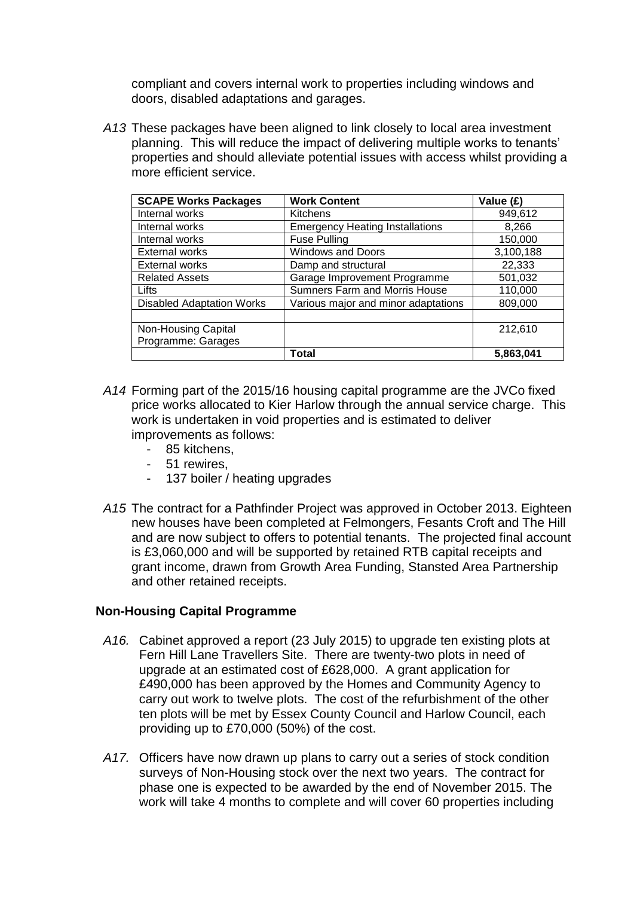compliant and covers internal work to properties including windows and doors, disabled adaptations and garages.

*A13.* These packages have been aligned to link closely to local area investment planning. This will reduce the impact of delivering multiple works to tenants' properties and should alleviate potential issues with access whilst providing a more efficient service.

| <b>SCAPE Works Packages</b>      | <b>Work Content</b>                    | Value (£) |
|----------------------------------|----------------------------------------|-----------|
| Internal works                   | <b>Kitchens</b>                        | 949,612   |
| Internal works                   | <b>Emergency Heating Installations</b> | 8,266     |
| Internal works                   | <b>Fuse Pulling</b>                    | 150,000   |
| <b>External works</b>            | <b>Windows and Doors</b>               | 3,100,188 |
| <b>External works</b>            | Damp and structural                    | 22,333    |
| <b>Related Assets</b>            | Garage Improvement Programme           | 501,032   |
| Lifts                            | Sumners Farm and Morris House          | 110,000   |
| <b>Disabled Adaptation Works</b> | Various major and minor adaptations    | 809,000   |
|                                  |                                        |           |
| Non-Housing Capital              |                                        | 212,610   |
| Programme: Garages               |                                        |           |
|                                  | Total                                  | 5,863,041 |

- *A14.* Forming part of the 2015/16 housing capital programme are the JVCo fixed price works allocated to Kier Harlow through the annual service charge. This work is undertaken in void properties and is estimated to deliver improvements as follows:
	- 85 kitchens,
	- 51 rewires,
	- 137 boiler / heating upgrades
- *A15.* The contract for a Pathfinder Project was approved in October 2013. Eighteen new houses have been completed at Felmongers, Fesants Croft and The Hill and are now subject to offers to potential tenants. The projected final account is £3,060,000 and will be supported by retained RTB capital receipts and grant income, drawn from Growth Area Funding, Stansted Area Partnership and other retained receipts.

### **Non-Housing Capital Programme**

- *A16.* Cabinet approved a report (23 July 2015) to upgrade ten existing plots at Fern Hill Lane Travellers Site. There are twenty-two plots in need of upgrade at an estimated cost of £628,000. A grant application for £490,000 has been approved by the Homes and Community Agency to carry out work to twelve plots. The cost of the refurbishment of the other ten plots will be met by Essex County Council and Harlow Council, each providing up to £70,000 (50%) of the cost.
- *A17.* Officers have now drawn up plans to carry out a series of stock condition surveys of Non-Housing stock over the next two years. The contract for phase one is expected to be awarded by the end of November 2015. The work will take 4 months to complete and will cover 60 properties including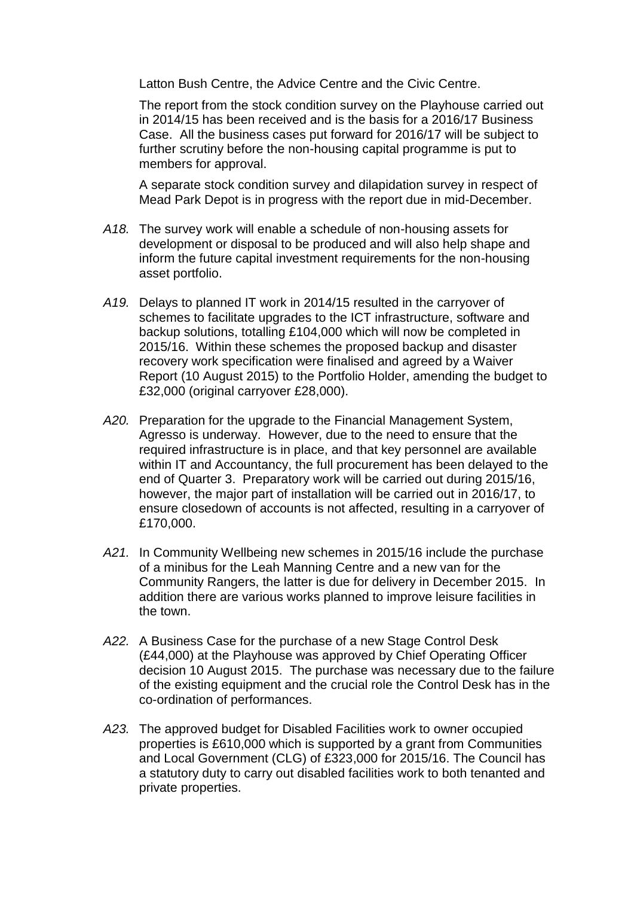Latton Bush Centre, the Advice Centre and the Civic Centre.

The report from the stock condition survey on the Playhouse carried out in 2014/15 has been received and is the basis for a 2016/17 Business Case. All the business cases put forward for 2016/17 will be subject to further scrutiny before the non-housing capital programme is put to members for approval.

A separate stock condition survey and dilapidation survey in respect of Mead Park Depot is in progress with the report due in mid-December.

- *A18.* The survey work will enable a schedule of non-housing assets for development or disposal to be produced and will also help shape and inform the future capital investment requirements for the non-housing asset portfolio.
- *A19.* Delays to planned IT work in 2014/15 resulted in the carryover of schemes to facilitate upgrades to the ICT infrastructure, software and backup solutions, totalling £104,000 which will now be completed in 2015/16. Within these schemes the proposed backup and disaster recovery work specification were finalised and agreed by a Waiver Report (10 August 2015) to the Portfolio Holder, amending the budget to £32,000 (original carryover £28,000).
- *A20.* Preparation for the upgrade to the Financial Management System, Agresso is underway. However, due to the need to ensure that the required infrastructure is in place, and that key personnel are available within IT and Accountancy, the full procurement has been delayed to the end of Quarter 3. Preparatory work will be carried out during 2015/16, however, the major part of installation will be carried out in 2016/17, to ensure closedown of accounts is not affected, resulting in a carryover of £170,000.
- *A21.* In Community Wellbeing new schemes in 2015/16 include the purchase of a minibus for the Leah Manning Centre and a new van for the Community Rangers, the latter is due for delivery in December 2015. In addition there are various works planned to improve leisure facilities in the town.
- *A22.* A Business Case for the purchase of a new Stage Control Desk (£44,000) at the Playhouse was approved by Chief Operating Officer decision 10 August 2015. The purchase was necessary due to the failure of the existing equipment and the crucial role the Control Desk has in the co-ordination of performances.
- *A23.* The approved budget for Disabled Facilities work to owner occupied properties is £610,000 which is supported by a grant from Communities and Local Government (CLG) of £323,000 for 2015/16. The Council has a statutory duty to carry out disabled facilities work to both tenanted and private properties.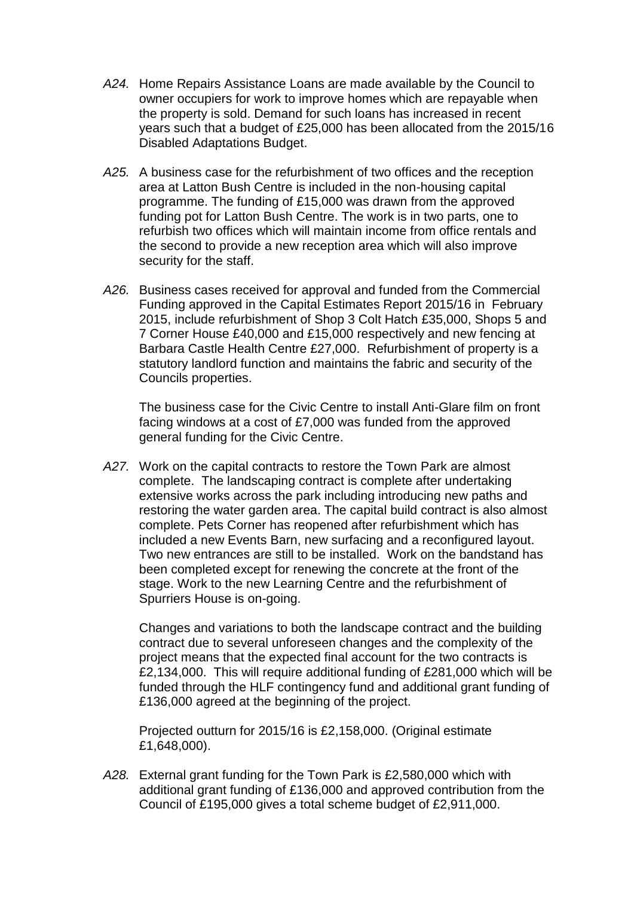- *A24.* Home Repairs Assistance Loans are made available by the Council to owner occupiers for work to improve homes which are repayable when the property is sold. Demand for such loans has increased in recent years such that a budget of £25,000 has been allocated from the 2015/16 Disabled Adaptations Budget.
- *A25.* A business case for the refurbishment of two offices and the reception area at Latton Bush Centre is included in the non-housing capital programme. The funding of £15,000 was drawn from the approved funding pot for Latton Bush Centre. The work is in two parts, one to refurbish two offices which will maintain income from office rentals and the second to provide a new reception area which will also improve security for the staff.
- *A26.* Business cases received for approval and funded from the Commercial Funding approved in the Capital Estimates Report 2015/16 in February 2015, include refurbishment of Shop 3 Colt Hatch £35,000, Shops 5 and 7 Corner House £40,000 and £15,000 respectively and new fencing at Barbara Castle Health Centre £27,000. Refurbishment of property is a statutory landlord function and maintains the fabric and security of the Councils properties.

The business case for the Civic Centre to install Anti-Glare film on front facing windows at a cost of £7,000 was funded from the approved general funding for the Civic Centre.

*A27.* Work on the capital contracts to restore the Town Park are almost complete. The landscaping contract is complete after undertaking extensive works across the park including introducing new paths and restoring the water garden area. The capital build contract is also almost complete. Pets Corner has reopened after refurbishment which has included a new Events Barn, new surfacing and a reconfigured layout. Two new entrances are still to be installed. Work on the bandstand has been completed except for renewing the concrete at the front of the stage. Work to the new Learning Centre and the refurbishment of Spurriers House is on-going.

Changes and variations to both the landscape contract and the building contract due to several unforeseen changes and the complexity of the project means that the expected final account for the two contracts is £2,134,000. This will require additional funding of £281,000 which will be funded through the HLF contingency fund and additional grant funding of £136,000 agreed at the beginning of the project.

Projected outturn for 2015/16 is £2,158,000. (Original estimate £1,648,000).

*A28.* External grant funding for the Town Park is £2,580,000 which with additional grant funding of £136,000 and approved contribution from the Council of £195,000 gives a total scheme budget of £2,911,000.